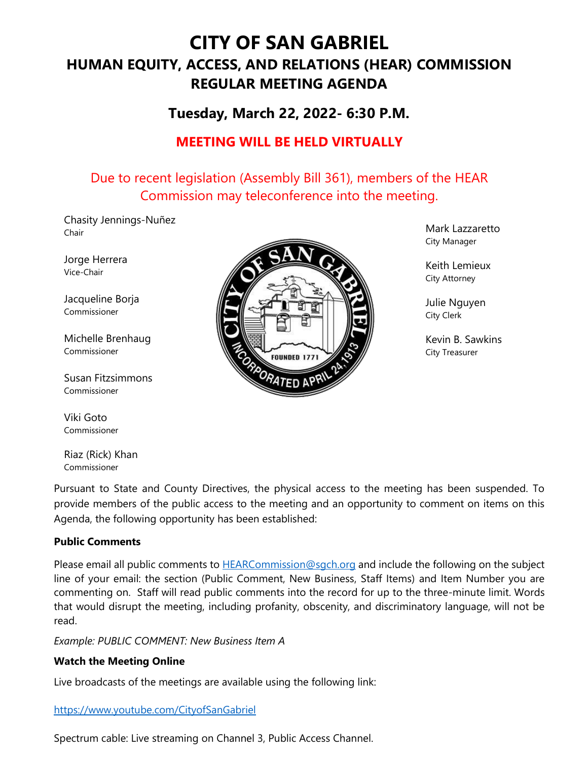# **CITY OF SAN GABRIEL HUMAN EQUITY, ACCESS, AND RELATIONS (HEAR) COMMISSION REGULAR MEETING AGENDA**

# **Tuesday, March 22, 2022- 6:30 P.M.**

# **MEETING WILL BE HELD VIRTUALLY**

# Due to recent legislation (Assembly Bill 361), members of the HEAR Commission may teleconference into the meeting.

Chasity Jennings-Nuñez Chair

Jorge Herrera Vice-Chair

Jacqueline Borja Commissioner

Michelle Brenhaug Commissioner

Susan Fitzsimmons Commissioner

Viki Goto Commissioner

Riaz (Rick) Khan Commissioner



Mark Lazzaretto City Manager

Keith Lemieux City Attorney

Julie Nguyen City Clerk

Kevin B. Sawkins City Treasurer

Pursuant to State and County Directives, the physical access to the meeting has been suspended. To provide members of the public access to the meeting and an opportunity to comment on items on this Agenda, the following opportunity has been established:

## **Public Comments**

Please email all public comments to **HEARCommission@sgch.org** and include the following on the subject line of your email: the section (Public Comment, New Business, Staff Items) and Item Number you are commenting on. Staff will read public comments into the record for up to the three-minute limit. Words that would disrupt the meeting, including profanity, obscenity, and discriminatory language, will not be read.

*Example: PUBLIC COMMENT: New Business Item A*

## **Watch the Meeting Online**

Live broadcasts of the meetings are available using the following link:

## <https://www.youtube.com/CityofSanGabriel>

Spectrum cable: Live streaming on Channel 3, Public Access Channel.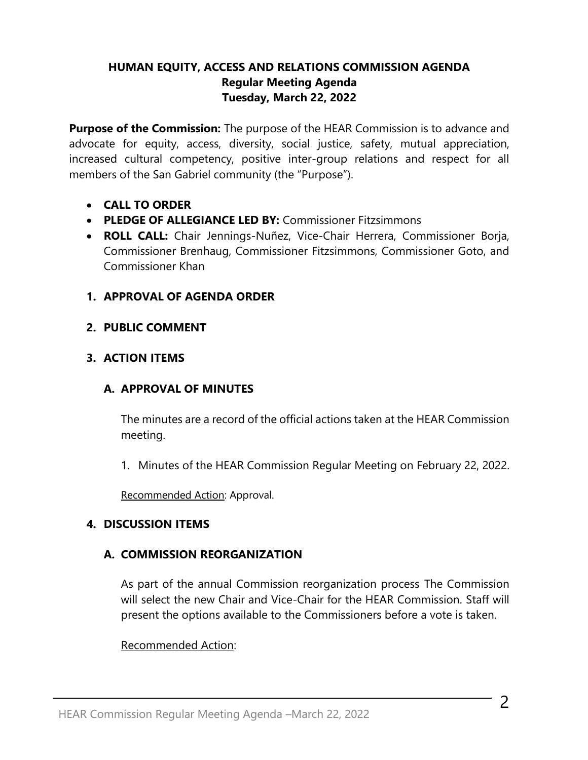# **HUMAN EQUITY, ACCESS AND RELATIONS COMMISSION AGENDA Regular Meeting Agenda Tuesday, March 22, 2022**

**Purpose of the Commission:** The purpose of the HEAR Commission is to advance and advocate for equity, access, diversity, social justice, safety, mutual appreciation, increased cultural competency, positive inter-group relations and respect for all members of the San Gabriel community (the "Purpose").

- **CALL TO ORDER**
- **PLEDGE OF ALLEGIANCE LED BY:** Commissioner Fitzsimmons
- **ROLL CALL:** Chair Jennings-Nuñez, Vice-Chair Herrera, Commissioner Borja, Commissioner Brenhaug, Commissioner Fitzsimmons, Commissioner Goto, and Commissioner Khan
- **1. APPROVAL OF AGENDA ORDER**
- **2. PUBLIC COMMENT**

# **3. ACTION ITEMS**

# **A. APPROVAL OF MINUTES**

The minutes are a record of the official actions taken at the HEAR Commission meeting.

1. Minutes of the HEAR Commission Regular Meeting on February 22, 2022.

Recommended Action: Approval.

# **4. DISCUSSION ITEMS**

# **A. COMMISSION REORGANIZATION**

As part of the annual Commission reorganization process The Commission will select the new Chair and Vice-Chair for the HEAR Commission. Staff will present the options available to the Commissioners before a vote is taken.

# Recommended Action: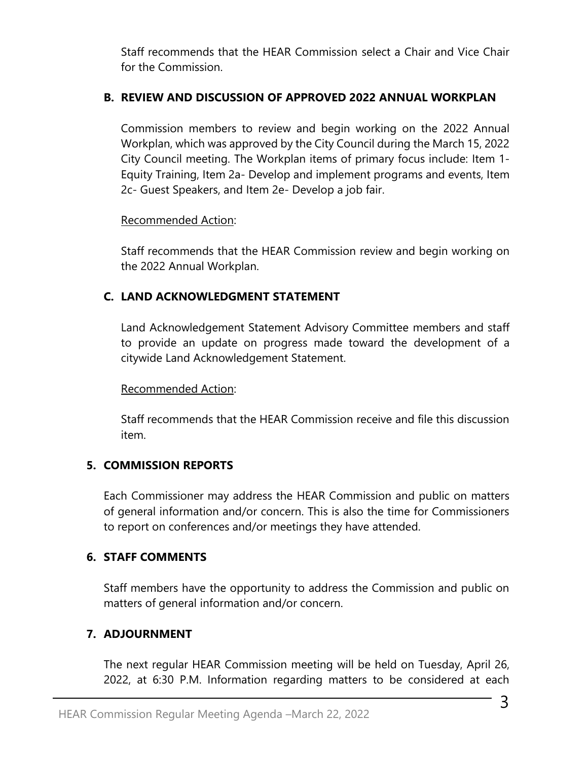Staff recommends that the HEAR Commission select a Chair and Vice Chair for the Commission.

# **B. REVIEW AND DISCUSSION OF APPROVED 2022 ANNUAL WORKPLAN**

Commission members to review and begin working on the 2022 Annual Workplan, which was approved by the City Council during the March 15, 2022 City Council meeting. The Workplan items of primary focus include: Item 1- Equity Training, Item 2a- Develop and implement programs and events, Item 2c- Guest Speakers, and Item 2e- Develop a job fair.

# Recommended Action:

Staff recommends that the HEAR Commission review and begin working on the 2022 Annual Workplan.

# **C. LAND ACKNOWLEDGMENT STATEMENT**

Land Acknowledgement Statement Advisory Committee members and staff to provide an update on progress made toward the development of a citywide Land Acknowledgement Statement.

# Recommended Action:

Staff recommends that the HEAR Commission receive and file this discussion item.

# **5. COMMISSION REPORTS**

Each Commissioner may address the HEAR Commission and public on matters of general information and/or concern. This is also the time for Commissioners to report on conferences and/or meetings they have attended.

# **6. STAFF COMMENTS**

Staff members have the opportunity to address the Commission and public on matters of general information and/or concern.

# **7. ADJOURNMENT**

The next regular HEAR Commission meeting will be held on Tuesday, April 26, 2022, at 6:30 P.M. Information regarding matters to be considered at each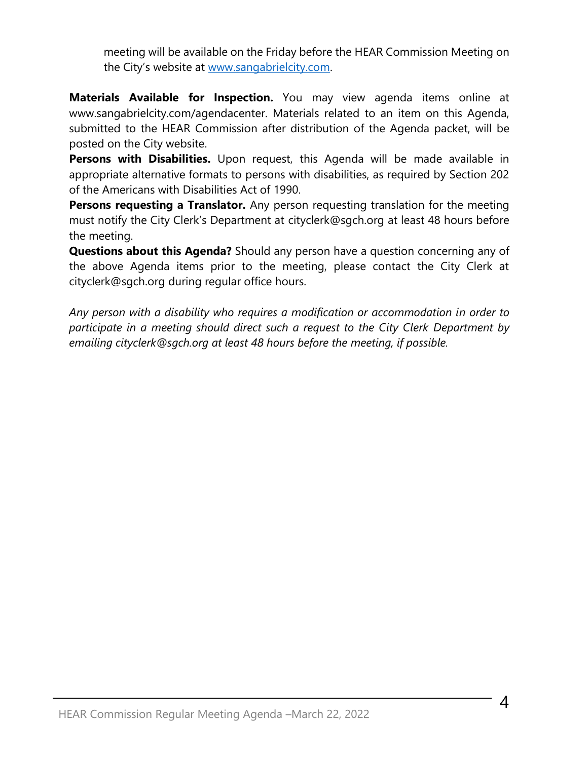meeting will be available on the Friday before the HEAR Commission Meeting on the City's website at [www.sangabrielcity.com.](http://www.sangabrielcity.com/)

**Materials Available for Inspection.** You may view agenda items online at www.sangabrielcity.com/agendacenter. Materials related to an item on this Agenda, submitted to the HEAR Commission after distribution of the Agenda packet, will be posted on the City website.

**Persons with Disabilities.** Upon request, this Agenda will be made available in appropriate alternative formats to persons with disabilities, as required by Section 202 of the Americans with Disabilities Act of 1990.

**Persons requesting a Translator.** Any person requesting translation for the meeting must notify the City Clerk's Department at cityclerk@sgch.org at least 48 hours before the meeting.

**Questions about this Agenda?** Should any person have a question concerning any of the above Agenda items prior to the meeting, please contact the City Clerk at cityclerk@sgch.org during regular office hours.

*Any person with a disability who requires a modification or accommodation in order to participate in a meeting should direct such a request to the City Clerk Department by emailing cityclerk@sgch.org at least 48 hours before the meeting, if possible.*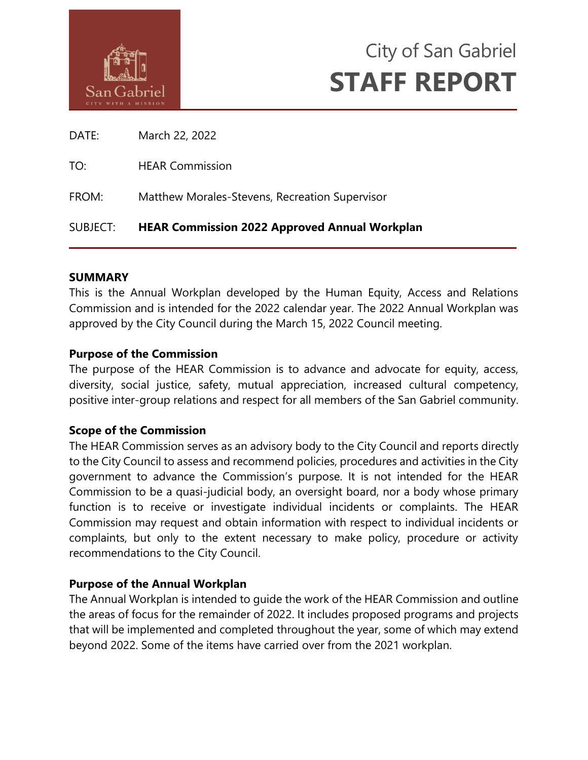



DATE: March 22, 2022

TO: HEAR Commission

FROM: Matthew Morales-Stevens, Recreation Supervisor

# SUBJECT: **HEAR Commission 2022 Approved Annual Workplan**

## **SUMMARY**

This is the Annual Workplan developed by the Human Equity, Access and Relations Commission and is intended for the 2022 calendar year. The 2022 Annual Workplan was approved by the City Council during the March 15, 2022 Council meeting.

## **Purpose of the Commission**

The purpose of the HEAR Commission is to advance and advocate for equity, access, diversity, social justice, safety, mutual appreciation, increased cultural competency, positive inter-group relations and respect for all members of the San Gabriel community.

## **Scope of the Commission**

The HEAR Commission serves as an advisory body to the City Council and reports directly to the City Council to assess and recommend policies, procedures and activities in the City government to advance the Commission's purpose. It is not intended for the HEAR Commission to be a quasi-judicial body, an oversight board, nor a body whose primary function is to receive or investigate individual incidents or complaints. The HEAR Commission may request and obtain information with respect to individual incidents or complaints, but only to the extent necessary to make policy, procedure or activity recommendations to the City Council.

# **Purpose of the Annual Workplan**

The Annual Workplan is intended to guide the work of the HEAR Commission and outline the areas of focus for the remainder of 2022. It includes proposed programs and projects that will be implemented and completed throughout the year, some of which may extend beyond 2022. Some of the items have carried over from the 2021 workplan.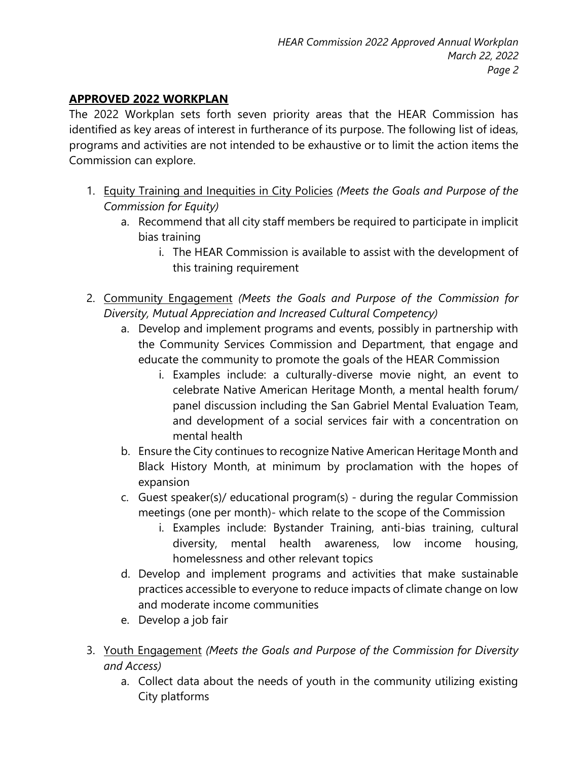# **APPROVED 2022 WORKPLAN**

The 2022 Workplan sets forth seven priority areas that the HEAR Commission has identified as key areas of interest in furtherance of its purpose. The following list of ideas, programs and activities are not intended to be exhaustive or to limit the action items the Commission can explore.

- 1. Equity Training and Inequities in City Policies *(Meets the Goals and Purpose of the Commission for Equity)*
	- a. Recommend that all city staff members be required to participate in implicit bias training
		- i. The HEAR Commission is available to assist with the development of this training requirement
- 2. Community Engagement *(Meets the Goals and Purpose of the Commission for Diversity, Mutual Appreciation and Increased Cultural Competency)*
	- a. Develop and implement programs and events, possibly in partnership with the Community Services Commission and Department, that engage and educate the community to promote the goals of the HEAR Commission
		- i. Examples include: a culturally-diverse movie night, an event to celebrate Native American Heritage Month, a mental health forum/ panel discussion including the San Gabriel Mental Evaluation Team, and development of a social services fair with a concentration on mental health
	- b. Ensure the City continues to recognize Native American Heritage Month and Black History Month, at minimum by proclamation with the hopes of expansion
	- c. Guest speaker(s)/ educational program(s) during the regular Commission meetings (one per month)- which relate to the scope of the Commission
		- i. Examples include: Bystander Training, anti-bias training, cultural diversity, mental health awareness, low income housing, homelessness and other relevant topics
	- d. Develop and implement programs and activities that make sustainable practices accessible to everyone to reduce impacts of climate change on low and moderate income communities
	- e. Develop a job fair
- 3. Youth Engagement *(Meets the Goals and Purpose of the Commission for Diversity and Access)*
	- a. Collect data about the needs of youth in the community utilizing existing City platforms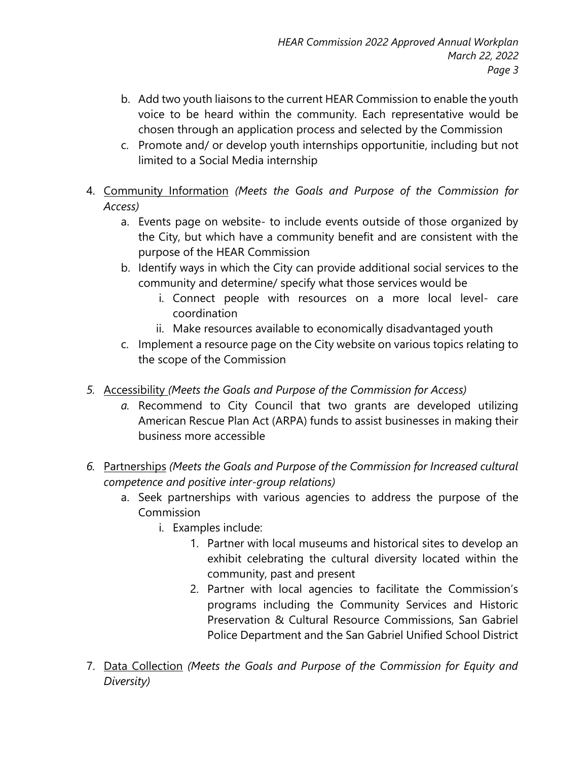- b. Add two youth liaisons to the current HEAR Commission to enable the youth voice to be heard within the community. Each representative would be chosen through an application process and selected by the Commission
- c. Promote and/ or develop youth internships opportunitie, including but not limited to a Social Media internship
- 4. Community Information *(Meets the Goals and Purpose of the Commission for Access)*
	- a. Events page on website- to include events outside of those organized by the City, but which have a community benefit and are consistent with the purpose of the HEAR Commission
	- b. Identify ways in which the City can provide additional social services to the community and determine/ specify what those services would be
		- i. Connect people with resources on a more local level- care coordination
		- ii. Make resources available to economically disadvantaged youth
	- c. Implement a resource page on the City website on various topics relating to the scope of the Commission
- *5.* Accessibility *(Meets the Goals and Purpose of the Commission for Access)*
	- *a.* Recommend to City Council that two grants are developed utilizing American Rescue Plan Act (ARPA) funds to assist businesses in making their business more accessible
- *6.* Partnerships *(Meets the Goals and Purpose of the Commission for Increased cultural competence and positive inter-group relations)*
	- a. Seek partnerships with various agencies to address the purpose of the Commission
		- i. Examples include:
			- 1. Partner with local museums and historical sites to develop an exhibit celebrating the cultural diversity located within the community, past and present
			- 2. Partner with local agencies to facilitate the Commission's programs including the Community Services and Historic Preservation & Cultural Resource Commissions, San Gabriel Police Department and the San Gabriel Unified School District
- 7. Data Collection *(Meets the Goals and Purpose of the Commission for Equity and Diversity)*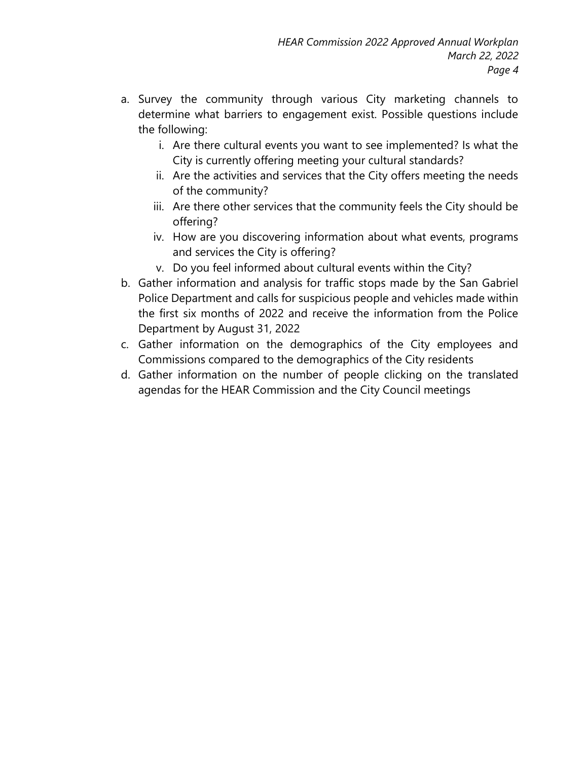- a. Survey the community through various City marketing channels to determine what barriers to engagement exist. Possible questions include the following:
	- i. Are there cultural events you want to see implemented? Is what the City is currently offering meeting your cultural standards?
	- ii. Are the activities and services that the City offers meeting the needs of the community?
	- iii. Are there other services that the community feels the City should be offering?
	- iv. How are you discovering information about what events, programs and services the City is offering?
	- v. Do you feel informed about cultural events within the City?
- b. Gather information and analysis for traffic stops made by the San Gabriel Police Department and calls for suspicious people and vehicles made within the first six months of 2022 and receive the information from the Police Department by August 31, 2022
- c. Gather information on the demographics of the City employees and Commissions compared to the demographics of the City residents
- d. Gather information on the number of people clicking on the translated agendas for the HEAR Commission and the City Council meetings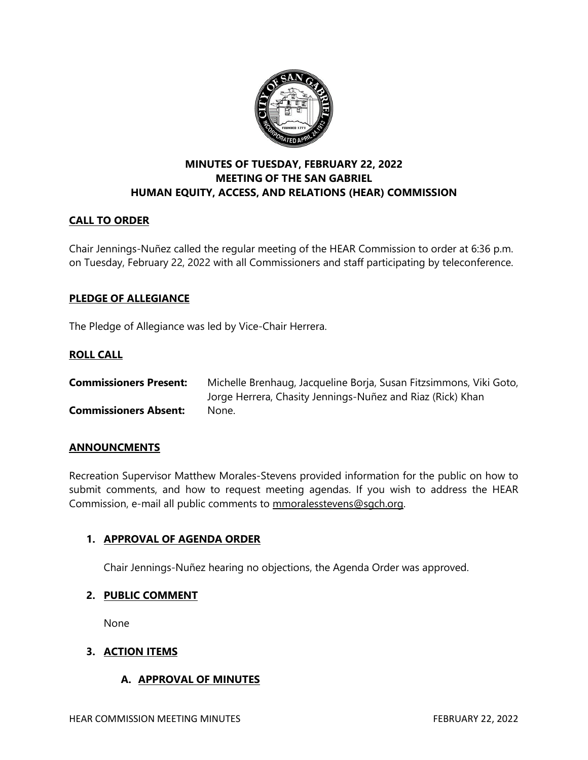

# **MINUTES OF TUESDAY, FEBRUARY 22, 2022 MEETING OF THE SAN GABRIEL HUMAN EQUITY, ACCESS, AND RELATIONS (HEAR) COMMISSION**

## **CALL TO ORDER**

Chair Jennings-Nuñez called the regular meeting of the HEAR Commission to order at 6:36 p.m. on Tuesday, February 22, 2022 with all Commissioners and staff participating by teleconference.

### **PLEDGE OF ALLEGIANCE**

The Pledge of Allegiance was led by Vice-Chair Herrera.

## **ROLL CALL**

| <b>Commissioners Present:</b> | Michelle Brenhaug, Jacqueline Borja, Susan Fitzsimmons, Viki Goto, |
|-------------------------------|--------------------------------------------------------------------|
|                               | Jorge Herrera, Chasity Jennings-Nuñez and Riaz (Rick) Khan         |
| <b>Commissioners Absent:</b>  | None.                                                              |

### **ANNOUNCMENTS**

Recreation Supervisor Matthew Morales-Stevens provided information for the public on how to submit comments, and how to request meeting agendas. If you wish to address the HEAR Commission, e-mail all public comments to [mmoralesstevens@sgch.org.](mailto:mmoralesstevens@sgch.org)

### **1. APPROVAL OF AGENDA ORDER**

Chair Jennings-Nuñez hearing no objections, the Agenda Order was approved.

### **2. PUBLIC COMMENT**

None

### **3. ACTION ITEMS**

## **A. APPROVAL OF MINUTES**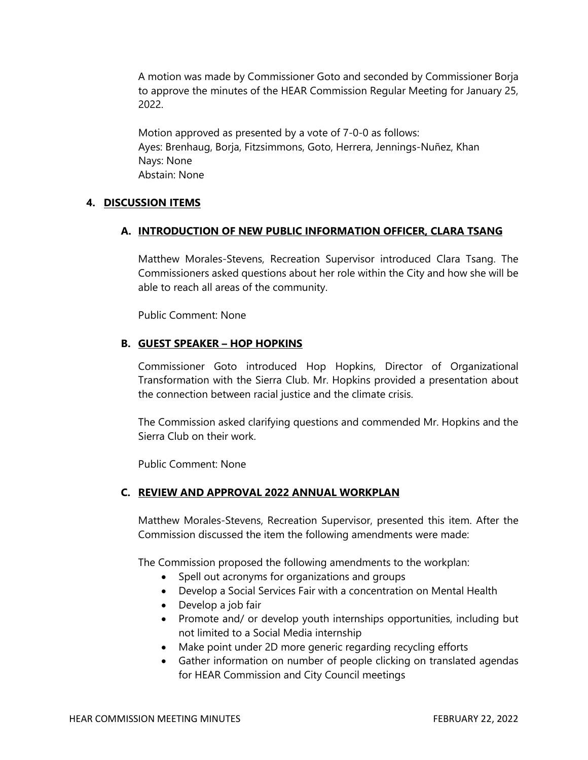A motion was made by Commissioner Goto and seconded by Commissioner Borja to approve the minutes of the HEAR Commission Regular Meeting for January 25, 2022.

Motion approved as presented by a vote of 7-0-0 as follows: Ayes: Brenhaug, Borja, Fitzsimmons, Goto, Herrera, Jennings-Nuñez, Khan Nays: None Abstain: None

### **4. DISCUSSION ITEMS**

#### **A. INTRODUCTION OF NEW PUBLIC INFORMATION OFFICER, CLARA TSANG**

Matthew Morales-Stevens, Recreation Supervisor introduced Clara Tsang. The Commissioners asked questions about her role within the City and how she will be able to reach all areas of the community.

Public Comment: None

#### **B. GUEST SPEAKER – HOP HOPKINS**

Commissioner Goto introduced Hop Hopkins, Director of Organizational Transformation with the Sierra Club. Mr. Hopkins provided a presentation about the connection between racial justice and the climate crisis.

The Commission asked clarifying questions and commended Mr. Hopkins and the Sierra Club on their work.

Public Comment: None

#### **C. REVIEW AND APPROVAL 2022 ANNUAL WORKPLAN**

Matthew Morales-Stevens, Recreation Supervisor, presented this item. After the Commission discussed the item the following amendments were made:

The Commission proposed the following amendments to the workplan:

- Spell out acronyms for organizations and groups
- Develop a Social Services Fair with a concentration on Mental Health
- Develop a job fair
- Promote and/ or develop youth internships opportunities, including but not limited to a Social Media internship
- Make point under 2D more generic regarding recycling efforts
- Gather information on number of people clicking on translated agendas for HEAR Commission and City Council meetings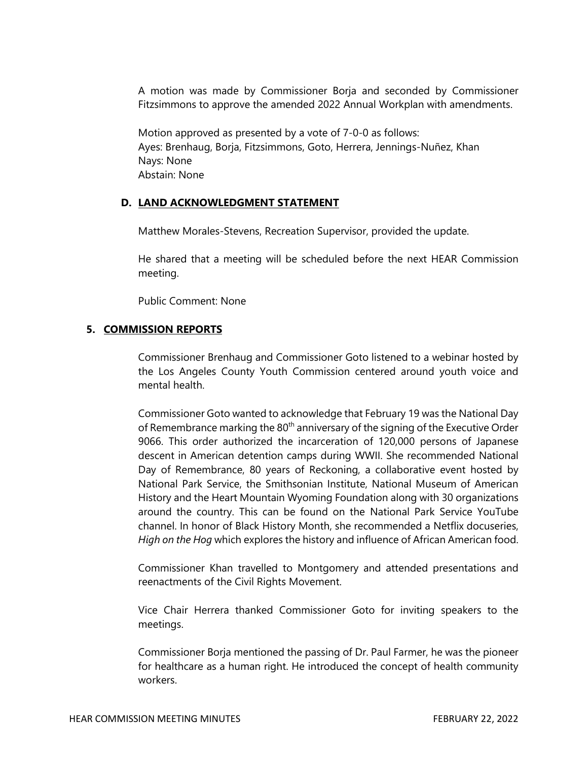A motion was made by Commissioner Borja and seconded by Commissioner Fitzsimmons to approve the amended 2022 Annual Workplan with amendments.

Motion approved as presented by a vote of 7-0-0 as follows: Ayes: Brenhaug, Borja, Fitzsimmons, Goto, Herrera, Jennings-Nuñez, Khan Nays: None Abstain: None

#### **D. LAND ACKNOWLEDGMENT STATEMENT**

Matthew Morales-Stevens, Recreation Supervisor, provided the update.

He shared that a meeting will be scheduled before the next HEAR Commission meeting.

Public Comment: None

#### **5. COMMISSION REPORTS**

Commissioner Brenhaug and Commissioner Goto listened to a webinar hosted by the Los Angeles County Youth Commission centered around youth voice and mental health.

Commissioner Goto wanted to acknowledge that February 19 was the National Day of Remembrance marking the 80<sup>th</sup> anniversary of the signing of the Executive Order 9066. This order authorized the incarceration of 120,000 persons of Japanese descent in American detention camps during WWII. She recommended National Day of Remembrance, 80 years of Reckoning, a collaborative event hosted by National Park Service, the Smithsonian Institute, National Museum of American History and the Heart Mountain Wyoming Foundation along with 30 organizations around the country. This can be found on the National Park Service YouTube channel. In honor of Black History Month, she recommended a Netflix docuseries, *High on the Hog* which explores the history and influence of African American food.

Commissioner Khan travelled to Montgomery and attended presentations and reenactments of the Civil Rights Movement.

Vice Chair Herrera thanked Commissioner Goto for inviting speakers to the meetings.

Commissioner Borja mentioned the passing of Dr. Paul Farmer, he was the pioneer for healthcare as a human right. He introduced the concept of health community workers.